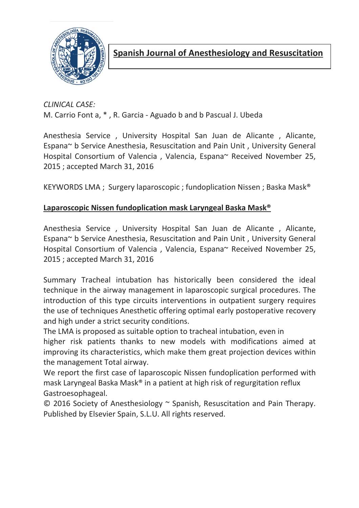

CLINICAL CASE: M. Carrio Font a, \* , R. Garcia - Aguado b and b Pascual J. Ubeda

Anesthesia Service , University Hospital San Juan de Alicante , Alicante, Espana~ b Service Anesthesia, Resuscitation and Pain Unit , University General Hospital Consortium of Valencia , Valencia, Espana~ Received November 25, 2015 ; accepted March 31, 2016

KEYWORDS LMA ; Surgery laparoscopic ; fundoplication Nissen ; Baska Mask®

#### Laparoscopic Nissen fundoplication mask Laryngeal Baska Mask®

Anesthesia Service , University Hospital San Juan de Alicante , Alicante, Espana~ b Service Anesthesia, Resuscitation and Pain Unit , University General Hospital Consortium of Valencia , Valencia, Espana~ Received November 25, 2015 ; accepted March 31, 2016

Summary Tracheal intubation has historically been considered the ideal technique in the airway management in laparoscopic surgical procedures. The introduction of this type circuits interventions in outpatient surgery requires the use of techniques Anesthetic offering optimal early postoperative recovery and high under a strict security conditions.

The LMA is proposed as suitable option to tracheal intubation, even in higher risk patients thanks to new models with modifications aimed at improving its characteristics, which make them great projection devices within the management Total airway.

We report the first case of laparoscopic Nissen fundoplication performed with mask Laryngeal Baska Mask® in a patient at high risk of regurgitation reflux Gastroesophageal.

© 2016 Society of Anesthesiology ~ Spanish, Resuscitation and Pain Therapy. Published by Elsevier Spain, S.L.U. All rights reserved.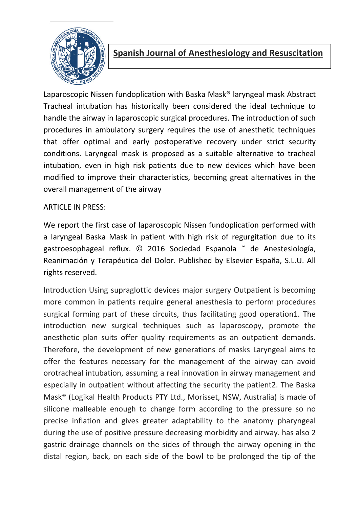

Laparoscopic Nissen fundoplication with Baska Mask® laryngeal mask Abstract Tracheal intubation has historically been considered the ideal technique to handle the airway in laparoscopic surgical procedures. The introduction of such procedures in ambulatory surgery requires the use of anesthetic techniques that offer optimal and early postoperative recovery under strict security conditions. Laryngeal mask is proposed as a suitable alternative to tracheal intubation, even in high risk patients due to new devices which have been modified to improve their characteristics, becoming great alternatives in the overall management of the airway

#### ARTICLE IN PRESS:

We report the first case of laparoscopic Nissen fundoplication performed with a laryngeal Baska Mask in patient with high risk of regurgitation due to its gastroesophageal reflux. © 2016 Sociedad Espanola ˜ de Anestesiología, Reanimación y Terapéutica del Dolor. Published by Elsevier España, S.L.U. All rights reserved.

Introduction Using supraglottic devices major surgery Outpatient is becoming more common in patients require general anesthesia to perform procedures surgical forming part of these circuits, thus facilitating good operation1. The introduction new surgical techniques such as laparoscopy, promote the anesthetic plan suits offer quality requirements as an outpatient demands. Therefore, the development of new generations of masks Laryngeal aims to offer the features necessary for the management of the airway can avoid orotracheal intubation, assuming a real innovation in airway management and especially in outpatient without affecting the security the patient2. The Baska Mask® (Logikal Health Products PTY Ltd., Morisset, NSW, Australia) is made of silicone malleable enough to change form according to the pressure so no precise inflation and gives greater adaptability to the anatomy pharyngeal during the use of positive pressure decreasing morbidity and airway. has also 2 gastric drainage channels on the sides of through the airway opening in the distal region, back, on each side of the bowl to be prolonged the tip of the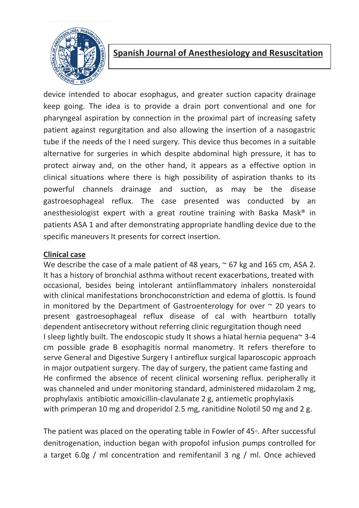

device intended to abocar esophagus, and greater suction capacity drainage keep going. The idea is to provide a drain port conventional and one for pharyngeal aspiration by connection in the proximal part of increasing safety patient against regurgitation and also allowing the insertion of a nasogastric tube if the needs of the I need surgery. This device thus becomes in a suitable alternative for surgeries in which despite abdominal high pressure, it has to protect airway and, on the other hand, it appears as a effective option in clinical situations where there is high possibility of aspiration thanks to its powerful channels drainage and suction, as may be the disease gastroesophageal reflux. The case presented was conducted by an anesthesiologist expert with a great routine training with Baska Mask® in patients ASA 1 and after demonstrating appropriate handling device due to the specific maneuvers It presents for correct insertion.

#### Clinical case

We describe the case of a male patient of 48 years,  $\sim$  67 kg and 165 cm, ASA 2. It has a history of bronchial asthma without recent exacerbations, treated with occasional, besides being intolerant antiinflammatory inhalers nonsteroidal with clinical manifestations bronchoconstriction and edema of glottis. Is found in monitored by the Department of Gastroenterology for over  $\sim$  20 years to present gastroesophageal reflux disease of cal with heartburn totally dependent antisecretory without referring clinic regurgitation though need I sleep lightly built. The endoscopic study It shows a hiatal hernia pequena~ 3-4 cm possible grade B esophagitis normal manometry. It refers therefore to serve General and Digestive Surgery I antireflux surgical laparoscopic approach in major outpatient surgery. The day of surgery, the patient came fasting and He confirmed the absence of recent clinical worsening reflux. peripherally it was channeled and under monitoring standard, administered midazolam 2 mg, prophylaxis antibiotic amoxicillin-clavulanate 2 g, antiemetic prophylaxis with primperan 10 mg and droperidol 2.5 mg, ranitidine Nolotil 50 mg and 2 g.

The patient was placed on the operating table in Fowler of 45◦. After successful denitrogenation, induction began with propofol infusion pumps controlled for a target 6.0g / ml concentration and remifentanil 3 ng / ml. Once achieved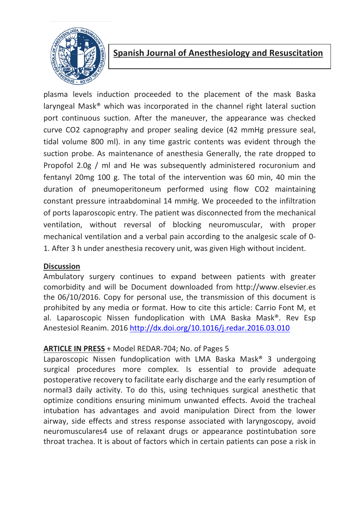

plasma levels induction proceeded to the placement of the mask Baska laryngeal Mask® which was incorporated in the channel right lateral suction port continuous suction. After the maneuver, the appearance was checked curve CO2 capnography and proper sealing device (42 mmHg pressure seal, tidal volume 800 ml). in any time gastric contents was evident through the suction probe. As maintenance of anesthesia Generally, the rate dropped to Propofol 2.0g / ml and He was subsequently administered rocuronium and fentanyl 20mg 100 g. The total of the intervention was 60 min, 40 min the duration of pneumoperitoneum performed using flow CO2 maintaining constant pressure intraabdominal 14 mmHg. We proceeded to the infiltration of ports laparoscopic entry. The patient was disconnected from the mechanical ventilation, without reversal of blocking neuromuscular, with proper mechanical ventilation and a verbal pain according to the analgesic scale of 0- 1. After 3 h under anesthesia recovery unit, was given High without incident.

#### **Discussion**

Ambulatory surgery continues to expand between patients with greater comorbidity and will be Document downloaded from http://www.elsevier.es the 06/10/2016. Copy for personal use, the transmission of this document is prohibited by any media or format. How to cite this article: Carrio Font M, et al. Laparoscopic Nissen fundoplication with LMA Baska Mask®. Rev Esp Anestesiol Reanim. 2016 http://dx.doi.org/10.1016/j.redar.2016.03.010

#### ARTICLE IN PRESS + Model REDAR-704; No. of Pages 5

Laparoscopic Nissen fundoplication with LMA Baska Mask® 3 undergoing surgical procedures more complex. Is essential to provide adequate postoperative recovery to facilitate early discharge and the early resumption of normal3 daily activity. To do this, using techniques surgical anesthetic that optimize conditions ensuring minimum unwanted effects. Avoid the tracheal intubation has advantages and avoid manipulation Direct from the lower airway, side effects and stress response associated with laryngoscopy, avoid neuromusculares4 use of relaxant drugs or appearance postintubation sore throat trachea. It is about of factors which in certain patients can pose a risk in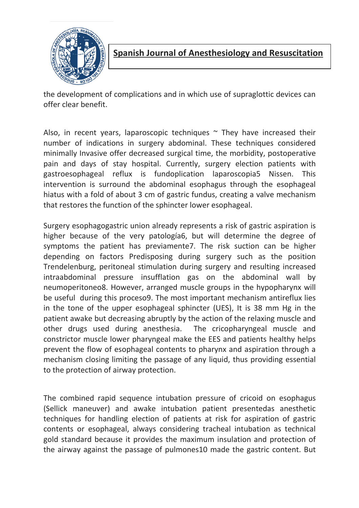

the development of complications and in which use of supraglottic devices can offer clear benefit.

Also, in recent years, laparoscopic techniques  $\sim$  They have increased their number of indications in surgery abdominal. These techniques considered minimally Invasive offer decreased surgical time, the morbidity, postoperative pain and days of stay hospital. Currently, surgery election patients with gastroesophageal reflux is fundoplication laparoscopia5 Nissen. This intervention is surround the abdominal esophagus through the esophageal hiatus with a fold of about 3 cm of gastric fundus, creating a valve mechanism that restores the function of the sphincter lower esophageal.

Surgery esophagogastric union already represents a risk of gastric aspiration is higher because of the very patología6, but will determine the degree of symptoms the patient has previamente7. The risk suction can be higher depending on factors Predisposing during surgery such as the position Trendelenburg, peritoneal stimulation during surgery and resulting increased intraabdominal pressure insufflation gas on the abdominal wall by neumoperitoneo8. However, arranged muscle groups in the hypopharynx will be useful during this proceso9. The most important mechanism antireflux lies in the tone of the upper esophageal sphincter (UES), It is 38 mm Hg in the patient awake but decreasing abruptly by the action of the relaxing muscle and other drugs used during anesthesia. The cricopharyngeal muscle and constrictor muscle lower pharyngeal make the EES and patients healthy helps prevent the flow of esophageal contents to pharynx and aspiration through a mechanism closing limiting the passage of any liquid, thus providing essential to the protection of airway protection.

The combined rapid sequence intubation pressure of cricoid on esophagus (Sellick maneuver) and awake intubation patient presentedas anesthetic techniques for handling election of patients at risk for aspiration of gastric contents or esophageal, always considering tracheal intubation as technical gold standard because it provides the maximum insulation and protection of the airway against the passage of pulmones10 made the gastric content. But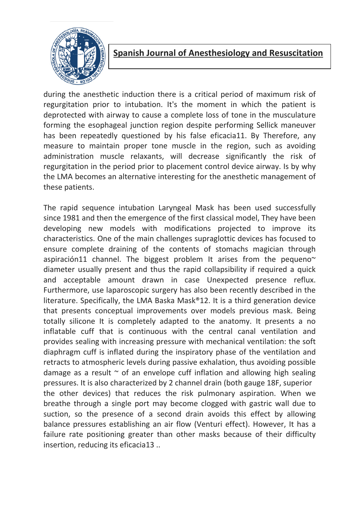

during the anesthetic induction there is a critical period of maximum risk of regurgitation prior to intubation. It's the moment in which the patient is deprotected with airway to cause a complete loss of tone in the musculature forming the esophageal junction region despite performing Sellick maneuver has been repeatedly questioned by his false eficacia11. By Therefore, any measure to maintain proper tone muscle in the region, such as avoiding administration muscle relaxants, will decrease significantly the risk of regurgitation in the period prior to placement control device airway. Is by why the LMA becomes an alternative interesting for the anesthetic management of these patients.

The rapid sequence intubation Laryngeal Mask has been used successfully since 1981 and then the emergence of the first classical model, They have been developing new models with modifications projected to improve its characteristics. One of the main challenges supraglottic devices has focused to ensure complete draining of the contents of stomachs magician through aspiración11 channel. The biggest problem It arises from the pequeno $\sim$ diameter usually present and thus the rapid collapsibility if required a quick and acceptable amount drawn in case Unexpected presence reflux. Furthermore, use laparoscopic surgery has also been recently described in the literature. Specifically, the LMA Baska Mask®12. It is a third generation device that presents conceptual improvements over models previous mask. Being totally silicone It is completely adapted to the anatomy. It presents a no inflatable cuff that is continuous with the central canal ventilation and provides sealing with increasing pressure with mechanical ventilation: the soft diaphragm cuff is inflated during the inspiratory phase of the ventilation and retracts to atmospheric levels during passive exhalation, thus avoiding possible damage as a result  $\sim$  of an envelope cuff inflation and allowing high sealing pressures. It is also characterized by 2 channel drain (both gauge 18F, superior the other devices) that reduces the risk pulmonary aspiration. When we breathe through a single port may become clogged with gastric wall due to suction, so the presence of a second drain avoids this effect by allowing balance pressures establishing an air flow (Venturi effect). However, It has a failure rate positioning greater than other masks because of their difficulty insertion, reducing its eficacia13 ..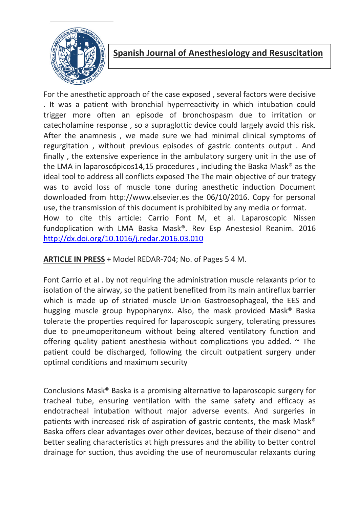

For the anesthetic approach of the case exposed , several factors were decisive . It was a patient with bronchial hyperreactivity in which intubation could trigger more often an episode of bronchospasm due to irritation or catecholamine response , so a supraglottic device could largely avoid this risk. After the anamnesis , we made sure we had minimal clinical symptoms of regurgitation , without previous episodes of gastric contents output . And finally , the extensive experience in the ambulatory surgery unit in the use of the LMA in laparoscópicos14,15 procedures , including the Baska Mask® as the ideal tool to address all conflicts exposed The The main objective of our trategy was to avoid loss of muscle tone during anesthetic induction Document downloaded from http://www.elsevier.es the 06/10/2016. Copy for personal use, the transmission of this document is prohibited by any media or format. How to cite this article: Carrio Font M, et al. Laparoscopic Nissen fundoplication with LMA Baska Mask®. Rev Esp Anestesiol Reanim. 2016 http://dx.doi.org/10.1016/j.redar.2016.03.010

ARTICLE IN PRESS + Model REDAR-704; No. of Pages 5 4 M.

Font Carrio et al . by not requiring the administration muscle relaxants prior to isolation of the airway, so the patient benefited from its main antireflux barrier which is made up of striated muscle Union Gastroesophageal, the EES and hugging muscle group hypopharynx. Also, the mask provided Mask® Baska tolerate the properties required for laparoscopic surgery, tolerating pressures due to pneumoperitoneum without being altered ventilatory function and offering quality patient anesthesia without complications you added.  $\sim$  The patient could be discharged, following the circuit outpatient surgery under optimal conditions and maximum security

Conclusions Mask® Baska is a promising alternative to laparoscopic surgery for tracheal tube, ensuring ventilation with the same safety and efficacy as endotracheal intubation without major adverse events. And surgeries in patients with increased risk of aspiration of gastric contents, the mask Mask® Baska offers clear advantages over other devices, because of their diseno~ and better sealing characteristics at high pressures and the ability to better control drainage for suction, thus avoiding the use of neuromuscular relaxants during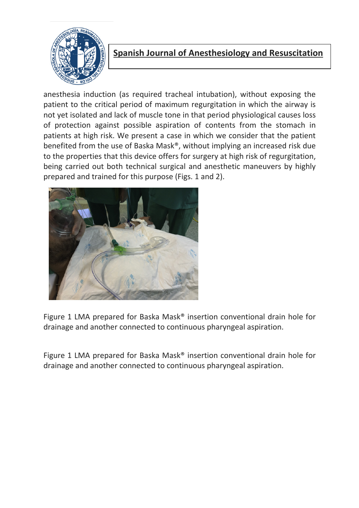

anesthesia induction (as required tracheal intubation), without exposing the patient to the critical period of maximum regurgitation in which the airway is not yet isolated and lack of muscle tone in that period physiological causes loss of protection against possible aspiration of contents from the stomach in patients at high risk. We present a case in which we consider that the patient benefited from the use of Baska Mask®, without implying an increased risk due to the properties that this device offers for surgery at high risk of regurgitation, being carried out both technical surgical and anesthetic maneuvers by highly prepared and trained for this purpose (Figs. 1 and 2).



Figure 1 LMA prepared for Baska Mask® insertion conventional drain hole for drainage and another connected to continuous pharyngeal aspiration.

Figure 1 LMA prepared for Baska Mask® insertion conventional drain hole for drainage and another connected to continuous pharyngeal aspiration.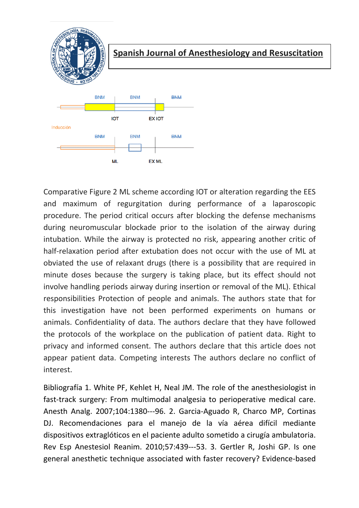

Comparative Figure 2 ML scheme according IOT or alteration regarding the EES and maximum of regurgitation during performance of a laparoscopic procedure. The period critical occurs after blocking the defense mechanisms during neuromuscular blockade prior to the isolation of the airway during intubation. While the airway is protected no risk, appearing another critic of half-relaxation period after extubation does not occur with the use of ML at obviated the use of relaxant drugs (there is a possibility that are required in minute doses because the surgery is taking place, but its effect should not involve handling periods airway during insertion or removal of the ML). Ethical responsibilities Protection of people and animals. The authors state that for this investigation have not been performed experiments on humans or animals. Confidentiality of data. The authors declare that they have followed the protocols of the workplace on the publication of patient data. Right to privacy and informed consent. The authors declare that this article does not appear patient data. Competing interests The authors declare no conflict of interest.

Bibliografía 1. White PF, Kehlet H, Neal JM. The role of the anesthesiologist in fast-track surgery: From multimodal analgesia to perioperative medical care. Anesth Analg. 2007;104:1380---96. 2. Garcia-Aguado R, Charco MP, Cortinas DJ. Recomendaciones para el manejo de la vía aérea difícil mediante dispositivos extraglóticos en el paciente adulto sometido a cirugía ambulatoria. Rev Esp Anestesiol Reanim. 2010;57:439---53. 3. Gertler R, Joshi GP. Is one general anesthetic technique associated with faster recovery? Evidence-based